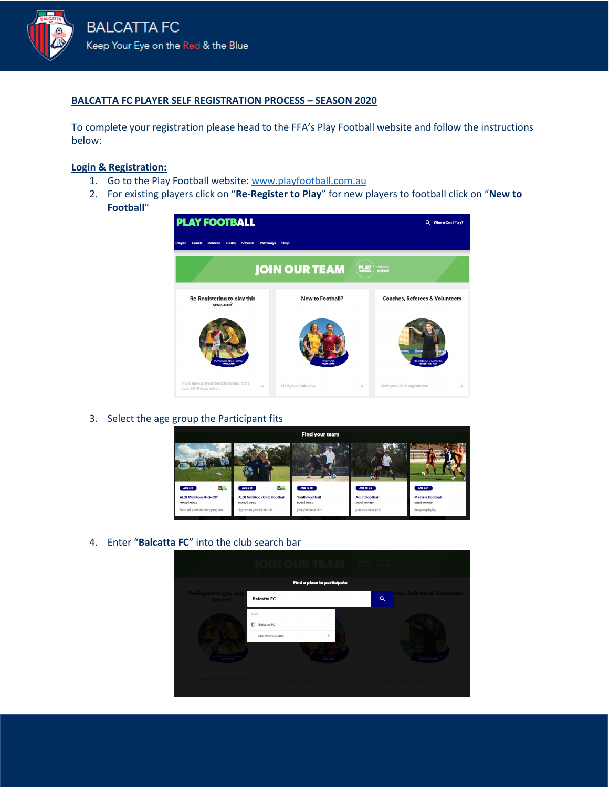

### **BALCATTA FC PLAYER SELF REGISTRATION PROCESS – SEASON 2020**

To complete your registration please head to the FFA's Play Football website and follow the instructions below:

### **Login & Registration:**

- 1. Go to the Play Football website: [www.playfootball.com.au](http://www.playfootball.com.au/)
- 2. For existing players click on "**Re-Register to Play**" for new players to football click on "**New to Football**"



3. Select the age group the Participant fits



4. Enter "**Balcatta FC**" into the club search bar

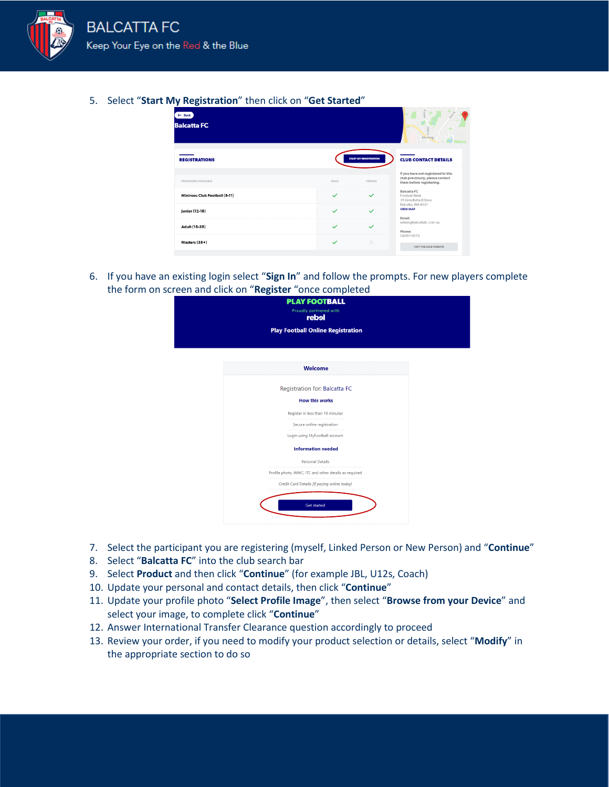

5. Select "**Start My Registration**" then click on "**Get Started**"

| $\leftarrow$ Back<br><b>Balcatta FC</b> |              |                              | S.<br>$\circ$<br>$\mathfrak{D}$<br>Stirling                                                                                 |
|-----------------------------------------|--------------|------------------------------|-----------------------------------------------------------------------------------------------------------------------------|
| <b>REGISTRATIONS</b>                    |              | <b>START MY REGISTRATION</b> | <b>CLUB CONTACT DETAILS</b>                                                                                                 |
| PROGRAMS AVAILABLE                      | MALE         | FEMALE                       | If you have not registered to this<br>club previously, please contact<br>them before registering.                           |
| Miniroos Club Football (5-11)           | $\checkmark$ | $\checkmark$                 | Balcatta FC<br>Football West<br>35 Grindleford Drive                                                                        |
| Junior (12-18)                          | $\checkmark$ | ✓                            | Balcatta, WA 6021<br><b>VIEW MAP</b><br>Email:<br>admin@balcattafc.com.au<br>Phone:<br>0409110572<br>VISIT THE CLUB WEBSITE |
| Adult (18-35)                           | $\checkmark$ | $\checkmark$                 |                                                                                                                             |
| Masters (35+)                           | $\checkmark$ | $\times$                     |                                                                                                                             |
|                                         |              |                              |                                                                                                                             |

6. If you have an existing login select "**Sign In**" and follow the prompts. For new players complete the form on screen and click on "**Register** "once completed

| <b>PLAY FOOTBALL</b><br>Proudly partnered with<br>rebel |                                                       |  |
|---------------------------------------------------------|-------------------------------------------------------|--|
|                                                         | <b>Play Football Online Registration</b>              |  |
|                                                         | Welcome                                               |  |
|                                                         |                                                       |  |
|                                                         | Registration for: Balcatta FC                         |  |
|                                                         | <b>How this works</b>                                 |  |
|                                                         | Register in less than 10 minutes                      |  |
|                                                         | Secure online registration                            |  |
|                                                         | Login using MyFootball account                        |  |
|                                                         | <b>Information needed</b>                             |  |
|                                                         | <b>Personal Details</b>                               |  |
|                                                         | Profile photo, WWC, ITC and other details as required |  |
|                                                         | Credit Card Details [If paying online today]          |  |
|                                                         | <b>Get started</b>                                    |  |
|                                                         |                                                       |  |

- 7. Select the participant you are registering (myself, Linked Person or New Person) and "**Continue**"
- 8. Select "**Balcatta FC**" into the club search bar
- 9. Select **Product** and then click "**Continue**" (for example JBL, U12s, Coach)
- 10. Update your personal and contact details, then click "**Continue**"
- 11. Update your profile photo "**Select Profile Image**", then select "**Browse from your Device**" and select your image, to complete click "**Continue**"
- 12. Answer International Transfer Clearance question accordingly to proceed
- 13. Review your order, if you need to modify your product selection or details, select "**Modify**" in the appropriate section to do so